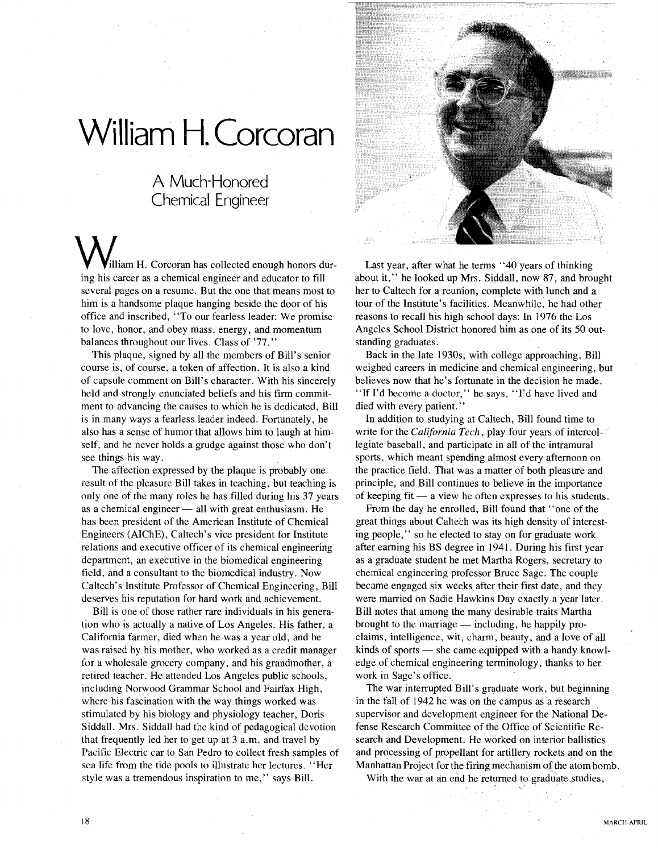## **William H. Corcoran**

## A Much-Honored Chemical Engineer

illiam H. Corcoran has collected enough honors during his career as a chemical engineer and educator to fill several pages on a resume. But the one that means most to him is a handsome plaque hanging beside the door of his office and inscribed, "To our fearless leader: We promise to love, honor, and obey mass, energy, and momentum balances throughout our lives. Class of '77."

This plaque, signed by all the members of Bill's senior course is, of course, a token of affection. It is also a kind of capsule comment on Bill's character. With his sincerely held and strongly enunciated beliefs and his firm commitment to advancing the causes to which he is dedicated, Bill is in many ways a fearless leader indeed. Fortunately, he also has a sense of humor that allows him to laugh at himself, and he never holds a grudge against those who don't see things his way.

The affection expressed by the plaque is probably one result of the pleasure Bill takes in teaching, but teaching is only one of the many roles he has filled during his 37 years as a chemical engineer  $-$  all with great enthusiasm. He has been president of the American Institute of Chemical Engineers (AIChE), Caltech's vice president for Institute relations and executive officer of its chemical engineering department, an executive in the biomedical engineering field, and a consultant to the biomedical industry. Now Caltech's Institute Professor of Chemical Engineering, Bill deserves his reputation for hard work and achievement.

Bill is one of those rather rare individuals in his generation who is actually a native of Los Angeles. His father, a California farmer, died when he was a year old, and he was raised by his mother, who worked as a credit manager for a wholesale grocery company, and his grandmother, a retired teacher. He attended Los Angeles public schools, including Norwood Grammar School and Fairfax High, where his fascination with the way things worked was stimulated by his biology and physiology teacher, Doris Siddall. Mrs. Siddall had the kind of pedagogical devotion that frequently led her to get up at 3 a.m. and travel by Pacific Electric car to San Pedro to collect fresh samples of sea life from the tide pools to illustrate her lectures. "Her style was a tremendous inspiration to me," says Bill.



Last year, after what he terms "40 years of thinking about it," he looked up Mrs. Siddall, now 87, and brought her to Caltech for a reunion, complete with lunch and a tour of the Institute's facilities. Meanwhile, he had other reasons to recall his high school days: In 1976 the Los Angeles School District honored him as one of its 50 outstanding graduates.

Back in the late 1930s, with college approaching, Bill weighed careers in medicine and chemical engineering, but believes now that he's fortunate in the decision he made. "If I'd become a doctor," he says, "I'd have lived and died with every patient."

In addition to studying at Caltech, Bill found time to write for the *California Tech,* play four years of intercollegiate baseball, and participate in all of the intramural sports, which meant spending almost every afternoon on the practice field. That was a matter of both pleasure and principle, and Bill continues to believe in the importance of keeping fit  $-$  a view he often expresses to his students.

From the day he enrolled, Bill found that "one of the great things about Caltech was its high density of interesting people," so he elected to stay on for graduate work after earning his BS degree in 1941. During his first year as a graduate student he met Martha Rogers, secretary to chemical engineering professor Bruce Sage. The couple became engaged six weeks after their first date, and they were married on Sadie Hawkins Day exactly a year later. Bill notes that among the many desirable traits Martha brought to the marriage  $-$  including, he happily proclaims, intelligence, wit, charm, beauty, and a love of all kinds of sports  $-$  she came equipped with a handy knowledge of chemical engineering terminology, thanks to her work in Sage's office.

The war interrupted Bill's graduate work, but beginning in the fall of 1942 he was on the campus as a research supervisor and development engineer for the National Defense Research Committee of the Office of Scientific Research and Development. He worked on interior ballistics and processing of propellant for artillery rockets and on the Manhattan Project for the firing mechanism of the atom bomb.

With the war at an end he returned to graduate studies,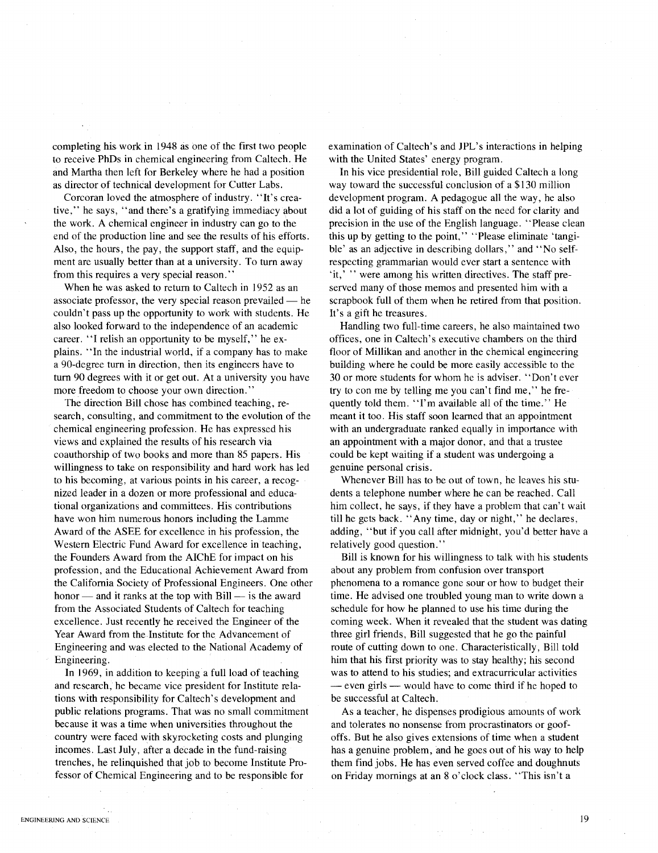completing his work in 1948 as one of the first two people to receive PhDs in chemical engineering from Caltech. He and Martha then left for Berkeley where he had a position as director of technical development for Cutter Labs.

Corcoran loved the atmosphere of industry. "It's creative," he says, "and there's a gratifying immediacy about the work. A chemical engineer in industry can go to the end of the production line and see the results of his efforts. Also, the hours, the pay, the support staff, and the equipment are usually better than at a university. To turn away from this requires a very special reason."

When he was asked to return to Caltech in 1952 as an associate professor, the very special reason prevailed  $-$  he couldn't pass up the opportunity to work with students. He also looked forward to the independence of an academic career. "I relish an opportunity to be myself," he explains. "In the industrial world, if a company has to make a 90-degree turn in direction, then its engineers have to turn 90 degrees with it or get out. At a university you have more freedom to choose your own direction."

The direction Bill chose has combined teaching, research, consulting, and commitment to the evolution of the chemical engineering profession. He has expressed his views and explained the results of his research via coauthorship of two books and more than 85 papers. His willingness to take on responsibility and hard work has led to his becoming, at various points in his career, a recognized leader in a dozen or more professional and educational organizations and committees. His contributions have won him numerous honors including the Lamme Award of the ASEE for excellence in his profession, the Western Electric Fund Award for excellence in teaching, the Founders Award from the AIChE for impact on his profession, and the Educational Achievement Award from the California Society of Professional Engineers. One other honor  $-$  and it ranks at the top with Bill  $-$  is the award from the Associated Students of Caltech for teaching excellence. Just recently he received the Engineer of the Year Award from the Institute for the Advancement of Engineering and was elected to the National Academy of Engineering.

In 1969, in addition to keeping a full load of teaching and research, he became vice president for Institute relations with responsibility for Caltech's development and public relations programs. That was no small commitment because it was a time when universities throughout the country were faced with skyrocketing costs and plunging incomes. Last July, after a decade in the fund-raising trenches, he relinquished that job to become Institute Professor of Chemical Engineering and to be responsible for

examination of Caltech's and JPL's interactions in helping with the United States' energy program.

In his vice presidential role, Bill guided Caltech a long way toward the successful conclusion of a \$130 million development program. A pedagogue all the way, he also did a lot of guiding of his staff on the need for clarity and precision in the use of the English language. "Please clean this up by getting to the point," "Please eliminate 'tangible' as an adjective in describing dollars," and "No selfrespecting grammarian would ever start a sentence with 'it,' " were among his written directives. The staff preserved many of those memos and presented him with a scrapbook full of them when he retired from that position. It's a gift he treasures.

Handling two full-time careers, he also maintained two offices, one in Caltech's executive chambers on the third floor of Millikan and another in the chemical engineering building where he could be more easily accessible to the 30 or more students for whom he is adviser. "Don't ever try to con me by telling me you can't find me," he frequently told them. "I'm available all of the time." He meant it too. His staff soon learned that an appointment with an undergraduate ranked equally in importance with an appointment with a major donor, and that a trustee could be kept waiting if a student was undergoing a genuine personal crisis.

Whenever Bill has to be out of town, he leaves his students a telephone number where he can be reached. Call him collect, he says, if they have a problem that can't wait till he gets back. "Any time, day or night," he declares, adding, "but if you call after midnight, you'd better have a relatively good question."

Bill is known for his willingness to talk with his students about any problem from confusion over transport phenomena to a romance gone sour or how to budget their time. He advised one troubled young man to write down a schedule for how he planned to use his time during the coming week. When it revealed that the student was dating three girl friends, Bill suggested that he go the painful route of cutting down to one. Characteristically, Bill told him that his first priority was to stay healthy; his second was to attend to his studies; and extracurricular activities - even girls - would have to come third if he hoped to be successful at Caltech.

As a teacher, he dispenses prodigious amounts of work and tolerates no nonsense from procrastinators or goofoffs. But he also gives extensions of time when a student has a genuine problem, and he goes out of his way to help them find jobs. He has even served coffee and doughnuts on Friday mornings at an 8 o'clock class. "This isn't a

19